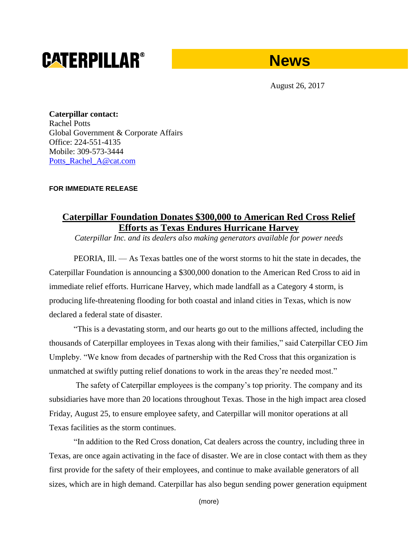# **CATERPILLAR®**



August 26, 2017

**Caterpillar contact:** Rachel Potts Global Government & Corporate Affairs Office: 224-551-4135 Mobile: 309-573-3444 [Potts\\_Rachel\\_A@cat.com](mailto:Potts_Rachel_A@cat.com)

## **FOR IMMEDIATE RELEASE**

## **Caterpillar Foundation Donates \$300,000 to American Red Cross Relief Efforts as Texas Endures Hurricane Harvey**

*Caterpillar Inc. and its dealers also making generators available for power needs*

PEORIA, Ill. — As Texas battles one of the worst storms to hit the state in decades, the Caterpillar Foundation is announcing a \$300,000 donation to the American Red Cross to aid in immediate relief efforts. Hurricane Harvey, which made landfall as a Category 4 storm, is producing life-threatening flooding for both coastal and inland cities in Texas, which is now declared a federal state of disaster.

"This is a devastating storm, and our hearts go out to the millions affected, including the thousands of Caterpillar employees in Texas along with their families," said Caterpillar CEO Jim Umpleby. "We know from decades of partnership with the Red Cross that this organization is unmatched at swiftly putting relief donations to work in the areas they're needed most."

The safety of Caterpillar employees is the company's top priority. The company and its subsidiaries have more than 20 locations throughout Texas. Those in the high impact area closed Friday, August 25, to ensure employee safety, and Caterpillar will monitor operations at all Texas facilities as the storm continues.

"In addition to the Red Cross donation, Cat dealers across the country, including three in Texas, are once again activating in the face of disaster. We are in close contact with them as they first provide for the safety of their employees, and continue to make available generators of all sizes, which are in high demand. Caterpillar has also begun sending power generation equipment